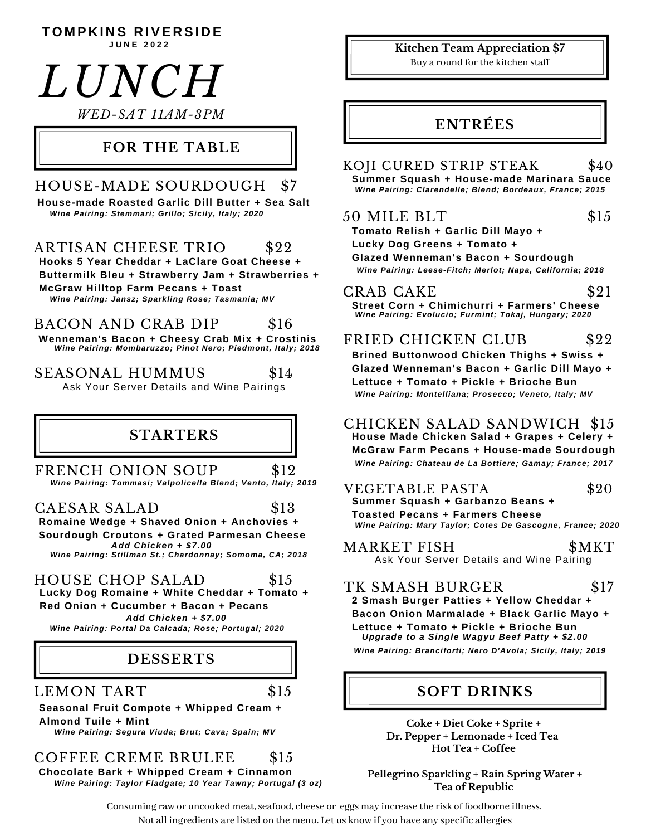50 MILE BLT \$15  $T$  **OMPKINS RIVERSIDE Tomato Relish + Garlic Dill Mayo + Lucky Dog Greens + Tomato + Glazed Wenneman's Bacon + Sourdough** CRAB CAKE \$21 **Street Corn + Chimichurri + Farmers' Cheese** FRIED CHICKEN CLUB \$22 **Brined Buttonwood Chicken Thighs + Swiss + Glazed Wenneman's Bacon + Garlic Dill Mayo + Lettuce + Tomato + Pickle + Brioche Bun** TK SMASH BURGER \$17 **2 Smash Burger Patties + Yellow Cheddar + Bacon Onion Marmalade + Black Garlic Mayo + Lettuce + Tomato + Pickle + Brioche Bun** *Upgrade to a Single Wagyu Beef Patty + \$2.00 LUNCH* **ENTRÉES FOR THE TABLE DESSERTS** ARTISAN CHEESE TRIO \$22 BACON AND CRAB DIP \$16 COFFEE CREME BRULEE \$15 **Hooks 5 Year Cheddar + LaClare Goat Cheese + Buttermilk Bleu + Strawberry Jam + Strawberries + McGraw Hilltop Farm Pecans + Toast Seasonal Fruit Compote + Whipped Cream + Almond Tuile + Mint** LEMON TART \$15 **Wenneman's Bacon + Cheesy Crab Mix + Crostinis J U N E 2 0 2 2 STARTERS** MARKET FISH \$MKT *Wine Pairing: Portal Da Calcada; Rose; Portugal; 2020* **Coke + Diet Coke + Sprite + Dr. Pepper + Lemonade + Iced Tea Hot Tea + Coffee Kitchen Team Appreciation \$7** Buy a round for the kitchen staff Ask Your Server Details and Wine Pairing *Wine Pairing: Montelliana; Prosecco; Veneto, Italy; MV* **SOFT DRINKS** *WED-SAT 11AM-3PM* CHICKEN SALAD SANDWICH \$15 **House Made Chicken Salad + Grapes + Celery + McGraw Farm Pecans + House-made Sourdough** *Wine Pairing: Jansz; Sparkling Rose; Tasmania; MV Wine Pairing: Mombaruzzo; Pinot Nero; Piedmont, Italy; 2018 Wine Pairing: Segura Viuda; Brut; Cava; Spain; MV Wine Pairing: Clarendelle; Blend; Bordeaux, France; 2015 Wine Pairing: Branciforti; Nero D'Avola; Sicily, Italy; 2019* VEGETABLE PASTA \$20 **Summer Squash + Garbanzo Beans + Toasted Pecans + Farmers Cheese** KOJI CURED STRIP STEAK \$40 **Summer Squash + House-made Marinara Sauce** *Wine Pairing: Leese-Fitch; Merlot; Napa, California; 2018 Wine Pairing: Chateau de La Bottiere; Gamay; France; 2017* FRENCH ONION SOUP \$12 CAESAR SALAD \$13 HOUSE CHOP SALAD \$15 **Romaine Wedge + Shaved Onion + Anchovies + Sourdough Croutons + Grated Parmesan Cheese Lucky Dog Romaine + White Cheddar + Tomato + Red Onion + Cucumber + Bacon + Pecans** *Add Chicken + \$7.00 Wine Pairing: Tommasi; Valpolicella Blend; Vento, Italy; 2019 Wine Pairing: Stillman St.; Chardonnay; Somoma, CA; 2018 Add Chicken + \$7.00 Wine Pairing: Evolucio; Furmint; Tokaj, Hungary; 2020 Wine Pairing: Mary Taylor; Cotes De Gascogne, France; 2020* SEASONAL HUMMUS \$14 Ask Your Server Details and Wine Pairings HOUSE-MADE SOURDOUGH \$7 *Wine Pairing: Stemmari; Grillo; Sicily, Italy; 2020* **House-made Roasted Garlic Dill Butter + Sea Salt**

*Wine Pairing: Taylor Fladgate; 10 Year Tawny; Portugal (3 oz)* **Chocolate Bark + Whipped Cream + Cinnamon Pellegrino Sparkling + Rain Spring Water +**

Consuming raw or uncooked meat, seafood, cheese or eggs may increase the risk of foodborne illness. Not all ingredients are listed on the menu. Let us know if you have any specific allergies

**Tea of Republic**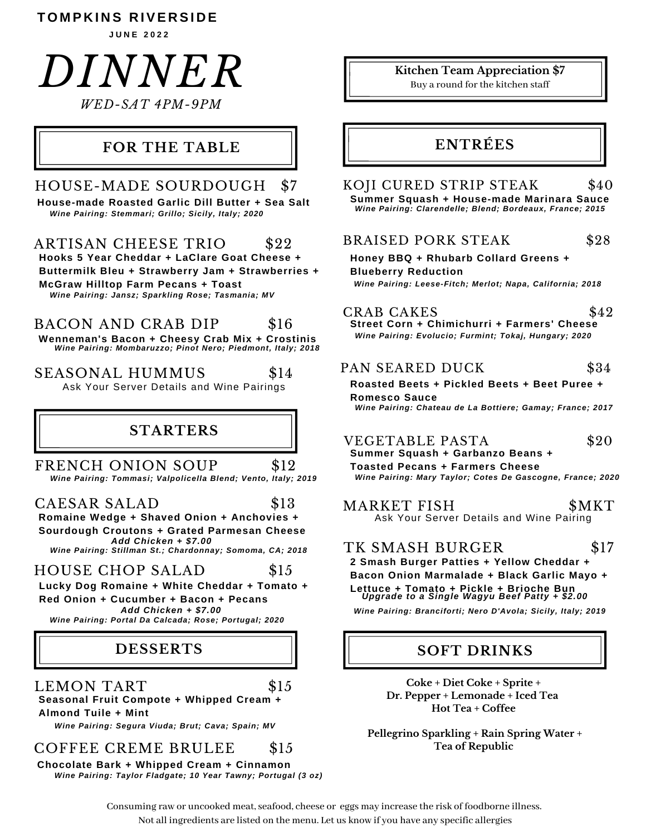#### **T O M P K I N S R IVE R SI D E**

**J U N E 2 0 2 2**

# *DINNER WED-SAT 4PM-9PM*

#### **FOR THE TABLE**

### HOUSE-MADE SOURDOUGH \$7

*Wine Pairing: Stemmari; Grillo; Sicily, Italy; 2020* **House-made Roasted Garlic Dill Butter + Sea Salt**

#### ARTISAN CHEESE TRIO \$22

**Hooks 5 Year Cheddar + LaClare Goat Cheese + Buttermilk Bleu + Strawberry Jam + Strawberries + McGraw Hilltop Farm Pecans + Toast** *Wine Pairing: Jansz; Sparkling Rose; Tasmania; MV*

#### BACON AND CRAB DIP \$16

**Wenneman's Bacon + Cheesy Crab Mix + Crostinis** *Wine Pairing: Mombaruzzo; Pinot Nero; Piedmont, Italy; 2018*

SEASONAL HUMMUS \$14 Ask Your Server Details and Wine Pairings

#### **STARTERS**

FRENCH ONION SOUP \$12 *Wine Pairing: Tommasi; Valpolicella Blend; Vento, Italy; 2019*

CAESAR SALAD \$13 **Romaine Wedge + Shaved Onion + Anchovies + Sourdough Croutons + Grated Parmesan Cheese** *Add Chicken + \$7.00*

*Wine Pairing: Stillman St.; Chardonnay; Somoma, CA; 2018*

#### HOUSE CHOP SALAD \$15

**Lucky Dog Romaine + White Cheddar + Tomato + Red Onion + Cucumber + Bacon + Pecans**

*Add Chicken + \$7.00 Wine Pairing: Portal Da Calcada; Rose; Portugal; 2020*

## **DESSERTS**

LEMON TART \$15

**Seasonal Fruit Compote + Whipped Cream + Almond Tuile + Mint**

*Wine Pairing: Segura Viuda; Brut; Cava; Spain; MV*

#### COFFEE CREME BRULEE \$15

**Chocolate Bark + Whipped Cream + Cinnamon** *Wine Pairing: Taylor Fladgate; 10 Year Tawny; Portugal (3 oz)*

## **Kitchen Team Appreciation \$7**

Buy a round for the kitchen staff

### **ENTRÉES**

#### *Wine Pairing: Clarendelle; Blend; Bordeaux, France; 2015* KOJI CURED STRIP STEAK \$40 **Summer Squash + House-made Marinara Sauce**

#### BRAISED PORK STEAK \$28

**Honey BBQ + Rhubarb Collard Greens + Blueberry Reduction** *Wine Pairing: Leese-Fitch; Merlot; Napa, California; 2018*

## CRAB CAKES \$42

**Street Corn + Chimichurri + Farmers' Cheese** *Wine Pairing: Evolucio; Furmint; Tokaj, Hungary; 2020*

#### PAN SEARED DUCK \$34

#### **Roasted Beets + Pickled Beets + Beet Puree + Romesco Sauce**

*Wine Pairing: Chateau de La Bottiere; Gamay; France; 2017*

## VEGETABLE PASTA \$20

**Summer Squash + Garbanzo Beans +**

**Toasted Pecans + Farmers Cheese** *Wine Pairing: Mary Taylor; Cotes De Gascogne, France; 2020*

MARKET FISH \$MKT Ask Your Server Details and Wine Pairing

#### TK SMASH BURGER \$17

**2 Smash Burger Patties + Yellow Cheddar + Bacon Onion Marmalade + Black Garlic Mayo + Lettuce + Tomato + Pickle + Brioche Bun** *Upgrade to a Single Wagyu Beef Patty + \$2.00*

*Wine Pairing: Branciforti; Nero D'Avola; Sicily, Italy; 2019*

#### **SOFT DRINKS**

**Coke + Diet Coke + Sprite + Dr. Pepper + Lemonade + Iced Tea Hot Tea + Coffee**

**Pellegrino Sparkling + Rain Spring Water + Tea of Republic**

Consuming raw or uncooked meat, seafood, cheese or eggs may increase the risk of foodborne illness. Not all ingredients are listed on the menu. Let us know if you have any specific allergies